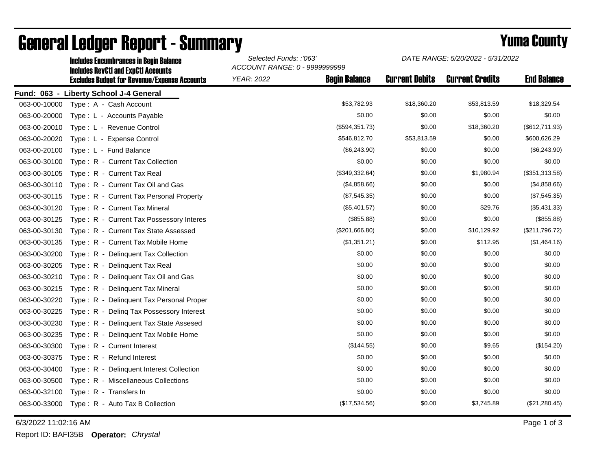|              | <b>Includes Encumbrances in Begin Balance</b><br><b>Includes RevCtI and ExpCtI Accounts</b> | Selected Funds: :'063'<br>ACCOUNT RANGE: 0 - 9999999999 |                      | DATE RANGE: 5/20/2022 - 5/31/2022 |                        |                    |
|--------------|---------------------------------------------------------------------------------------------|---------------------------------------------------------|----------------------|-----------------------------------|------------------------|--------------------|
|              | <b>Excludes Budget for Revenue/Expense Accounts</b>                                         | <b>YEAR: 2022</b>                                       | <b>Begin Balance</b> | <b>Current Debits</b>             | <b>Current Credits</b> | <b>End Balance</b> |
|              | Fund: 063 - Liberty School J-4 General                                                      |                                                         |                      |                                   |                        |                    |
| 063-00-10000 | Type: A - Cash Account                                                                      |                                                         | \$53,782.93          | \$18,360.20                       | \$53,813.59            | \$18,329.54        |
| 063-00-20000 | Type: L - Accounts Payable                                                                  |                                                         | \$0.00               | \$0.00                            | \$0.00                 | \$0.00             |
| 063-00-20010 | Type: L - Revenue Control                                                                   |                                                         | (\$594,351.73)       | \$0.00                            | \$18,360.20            | (\$612,711.93)     |
| 063-00-20020 | Type: L - Expense Control                                                                   |                                                         | \$546,812.70         | \$53,813.59                       | \$0.00                 | \$600,626.29       |
| 063-00-20100 | Type: L - Fund Balance                                                                      |                                                         | (\$6,243.90)         | \$0.00                            | \$0.00                 | (\$6,243.90)       |
| 063-00-30100 | Type: R - Current Tax Collection                                                            |                                                         | \$0.00               | \$0.00                            | \$0.00                 | \$0.00             |
| 063-00-30105 | Type: R - Current Tax Real                                                                  |                                                         | (\$349,332.64)       | \$0.00                            | \$1,980.94             | (\$351,313.58)     |
| 063-00-30110 | Type: R - Current Tax Oil and Gas                                                           |                                                         | (\$4,858.66)         | \$0.00                            | \$0.00                 | (\$4,858.66)       |
| 063-00-30115 | Type: R - Current Tax Personal Property                                                     |                                                         | (\$7,545.35)         | \$0.00                            | \$0.00                 | (\$7,545.35)       |
| 063-00-30120 | Type: R - Current Tax Mineral                                                               |                                                         | (\$5,401.57)         | \$0.00                            | \$29.76                | (\$5,431.33)       |
| 063-00-30125 | Type: R - Current Tax Possessory Interes                                                    |                                                         | (\$855.88)           | \$0.00                            | \$0.00                 | (\$855.88)         |
| 063-00-30130 | Type: R - Current Tax State Assessed                                                        |                                                         | (\$201,666.80)       | \$0.00                            | \$10,129.92            | (\$211,796.72)     |
| 063-00-30135 | Type: R - Current Tax Mobile Home                                                           |                                                         | (\$1,351.21)         | \$0.00                            | \$112.95               | (\$1,464.16)       |
| 063-00-30200 | Type: R - Delinquent Tax Collection                                                         |                                                         | \$0.00               | \$0.00                            | \$0.00                 | \$0.00             |
| 063-00-30205 | Type: R - Delinquent Tax Real                                                               |                                                         | \$0.00               | \$0.00                            | \$0.00                 | \$0.00             |
| 063-00-30210 | Type: R - Delinquent Tax Oil and Gas                                                        |                                                         | \$0.00               | \$0.00                            | \$0.00                 | \$0.00             |
| 063-00-30215 | Type: R - Delinquent Tax Mineral                                                            |                                                         | \$0.00               | \$0.00                            | \$0.00                 | \$0.00             |
| 063-00-30220 | Type: R - Delinquent Tax Personal Proper                                                    |                                                         | \$0.00               | \$0.00                            | \$0.00                 | \$0.00             |
| 063-00-30225 | Type: R - Deling Tax Possessory Interest                                                    |                                                         | \$0.00               | \$0.00                            | \$0.00                 | \$0.00             |
| 063-00-30230 | Type: R - Delinquent Tax State Assesed                                                      |                                                         | \$0.00               | \$0.00                            | \$0.00                 | \$0.00             |
| 063-00-30235 | Type: R - Delinguent Tax Mobile Home                                                        |                                                         | \$0.00               | \$0.00                            | \$0.00                 | \$0.00             |
| 063-00-30300 | Type: R - Current Interest                                                                  |                                                         | (\$144.55)           | \$0.00                            | \$9.65                 | (\$154.20)         |
| 063-00-30375 | Type: R - Refund Interest                                                                   |                                                         | \$0.00               | \$0.00                            | \$0.00                 | \$0.00             |
| 063-00-30400 | Type: R - Delinquent Interest Collection                                                    |                                                         | \$0.00               | \$0.00                            | \$0.00                 | \$0.00             |
| 063-00-30500 | Type: R - Miscellaneous Collections                                                         |                                                         | \$0.00               | \$0.00                            | \$0.00                 | \$0.00             |
| 063-00-32100 | Type: R - Transfers In                                                                      |                                                         | \$0.00               | \$0.00                            | \$0.00                 | \$0.00             |
| 063-00-33000 | Type: R - Auto Tax B Collection                                                             |                                                         | (\$17,534.56)        | \$0.00                            | \$3,745.89             | (\$21,280.45)      |

## General Ledger Report - Summary **Example 2018** Yuma County

6/3/2022 11:02:16 AM Page 1 of 3

Report ID: BAFI35B **Operator:** *Chrystal*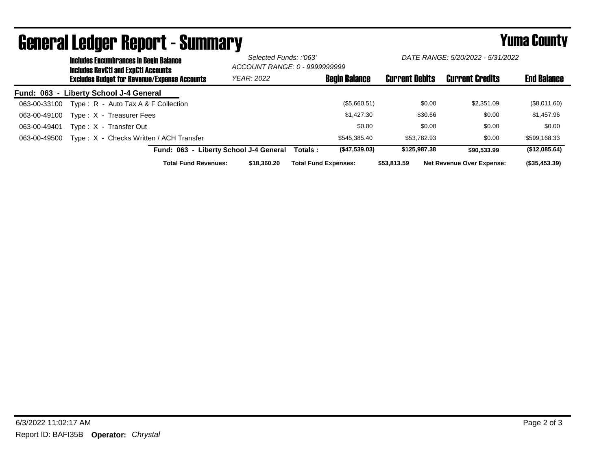|              | <b>Includes Encumbrances in Begin Balance</b><br><b>Includes RevCtI and ExpCtI Accounts</b><br><b>Excludes Budget for Revenue/Expense Accounts</b> |                                         |                                        | Selected Funds: :'063'<br>ACCOUNT RANGE: 0 - 9999999999 |                             | DATE RANGE: 5/20/2022 - 5/31/2022 |                       |         |                                  |                    |
|--------------|----------------------------------------------------------------------------------------------------------------------------------------------------|-----------------------------------------|----------------------------------------|---------------------------------------------------------|-----------------------------|-----------------------------------|-----------------------|---------|----------------------------------|--------------------|
|              |                                                                                                                                                    |                                         | <b>YEAR: 2022</b>                      |                                                         | <b>Begin Balance</b>        |                                   | <b>Current Debits</b> |         | <b>Current Credits</b>           | <b>End Balance</b> |
|              |                                                                                                                                                    | Fund: 063 - Liberty School J-4 General  |                                        |                                                         |                             |                                   |                       |         |                                  |                    |
| 063-00-33100 |                                                                                                                                                    | Type: R - Auto Tax A & F Collection     |                                        |                                                         |                             | (\$5,660.51)                      |                       | \$0.00  | \$2,351.09                       | (\$8,011.60)       |
| 063-00-49100 |                                                                                                                                                    | Type: X - Treasurer Fees                |                                        |                                                         |                             | \$1.427.30                        |                       | \$30.66 | \$0.00                           | \$1,457.96         |
| 063-00-49401 |                                                                                                                                                    | Type: X - Transfer Out                  |                                        |                                                         |                             | \$0.00                            |                       | \$0.00  | \$0.00                           | \$0.00             |
| 063-00-49500 |                                                                                                                                                    | Type: X - Checks Written / ACH Transfer |                                        |                                                         |                             | \$545,385.40                      | \$53.782.93           |         | \$0.00                           | \$599,168.33       |
|              |                                                                                                                                                    |                                         | Fund: 063 - Liberty School J-4 General |                                                         | Totals :                    | (\$47,539.03)                     | \$125,987,38          |         | \$90.533.99                      | (\$12,085.64)      |
|              |                                                                                                                                                    | <b>Total Fund Revenues:</b>             |                                        | \$18,360,20                                             | <b>Total Fund Expenses:</b> |                                   | \$53,813.59           |         | <b>Net Revenue Over Expense:</b> | (\$35,453.39)      |

## General Ledger Report - Summary **Example 2018** Yuma County